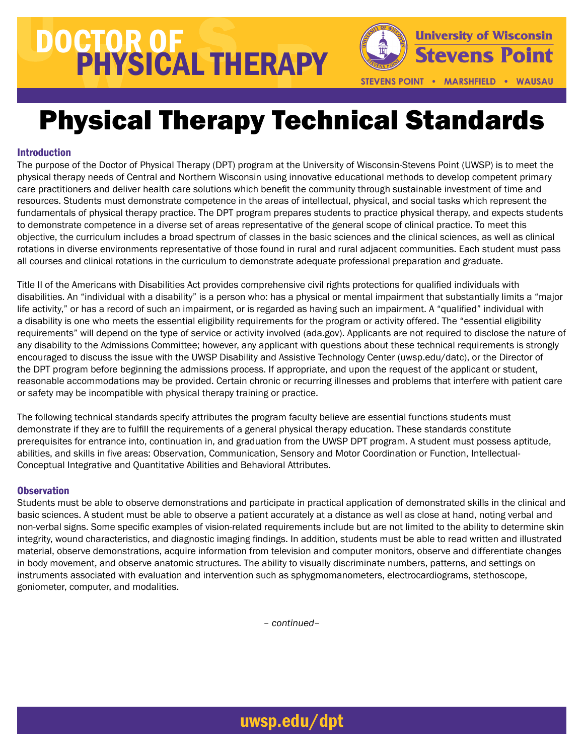# DOCTOR OF PHYSICAL THERAPY



STEVENS POINT . MARSHFIELD . WAUSAU

### Physical Therapy Technical Standards

### Introduction

The purpose of the Doctor of Physical Therapy (DPT) program at the University of Wisconsin-Stevens Point (UWSP) is to meet the physical therapy needs of Central and Northern Wisconsin using innovative educational methods to develop competent primary care practitioners and deliver health care solutions which benefit the community through sustainable investment of time and resources. Students must demonstrate competence in the areas of intellectual, physical, and social tasks which represent the fundamentals of physical therapy practice. The DPT program prepares students to practice physical therapy, and expects students to demonstrate competence in a diverse set of areas representative of the general scope of clinical practice. To meet this objective, the curriculum includes a broad spectrum of classes in the basic sciences and the clinical sciences, as well as clinical rotations in diverse environments representative of those found in rural and rural adjacent communities. Each student must pass all courses and clinical rotations in the curriculum to demonstrate adequate professional preparation and graduate.

Title II of the Americans with Disabilities Act provides comprehensive civil rights protections for qualified individuals with disabilities. An "individual with a disability" is a person who: has a physical or mental impairment that substantially limits a "major life activity," or has a record of such an impairment, or is regarded as having such an impairment. A "qualified" individual with a disability is one who meets the essential eligibility requirements for the program or activity offered. The "essential eligibility requirements" will depend on the type of service or activity involved [\(ada.gov\)](http://www.ada.gov). Applicants are not required to disclose the nature of any disability to the Admissions Committee; however, any applicant with questions about these technical requirements is strongly encouraged to discuss the issue with the UWSP Disability and Assistive Technology Center [\(uwsp.edu/datc\)](http://www.uwsp.edu/datc), or the Director of the DPT program before beginning the admissions process. If appropriate, and upon the request of the applicant or student, reasonable accommodations may be provided. Certain chronic or recurring illnesses and problems that interfere with patient care or safety may be incompatible with physical therapy training or practice.

The following technical standards specify attributes the program faculty believe are essential functions students must demonstrate if they are to fulfill the requirements of a general physical therapy education. These standards constitute prerequisites for entrance into, continuation in, and graduation from the UWSP DPT program. A student must possess aptitude, abilities, and skills in five areas: Observation, Communication, Sensory and Motor Coordination or Function, Intellectual-Conceptual Integrative and Quantitative Abilities and Behavioral Attributes.

### **Observation**

Students must be able to observe demonstrations and participate in practical application of demonstrated skills in the clinical and basic sciences. A student must be able to observe a patient accurately at a distance as well as close at hand, noting verbal and non-verbal signs. Some specific examples of vision-related requirements include but are not limited to the ability to determine skin integrity, wound characteristics, and diagnostic imaging findings. In addition, students must be able to read written and illustrated material, observe demonstrations, acquire information from television and computer monitors, observe and differentiate changes in body movement, and observe anatomic structures. The ability to visually discriminate numbers, patterns, and settings on instruments associated with evaluation and intervention such as sphygmomanometers, electrocardiograms, stethoscope, goniometer, computer, and modalities.

*– continued–*